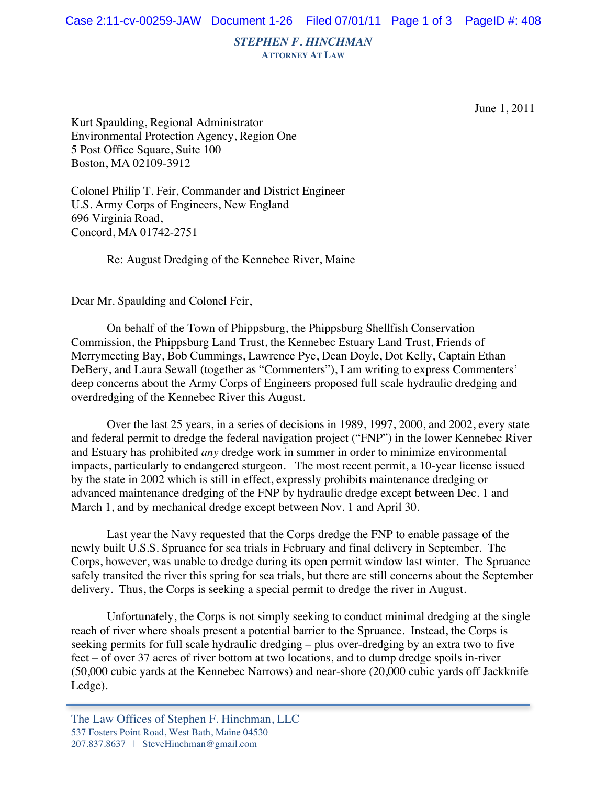*STEPHEN F. HINCHMAN*

**ATTORNEY AT LAW**

June 1, 2011

Kurt Spaulding, Regional Administrator Environmental Protection Agency, Region One 5 Post Office Square, Suite 100 Boston, MA 02109-3912

Colonel Philip T. Feir, Commander and District Engineer U.S. Army Corps of Engineers, New England 696 Virginia Road, Concord, MA 01742-2751

Re: August Dredging of the Kennebec River, Maine

Dear Mr. Spaulding and Colonel Feir,

On behalf of the Town of Phippsburg, the Phippsburg Shellfish Conservation Commission, the Phippsburg Land Trust, the Kennebec Estuary Land Trust, Friends of Merrymeeting Bay, Bob Cummings, Lawrence Pye, Dean Doyle, Dot Kelly, Captain Ethan DeBery, and Laura Sewall (together as "Commenters"), I am writing to express Commenters' deep concerns about the Army Corps of Engineers proposed full scale hydraulic dredging and overdredging of the Kennebec River this August.

Over the last 25 years, in a series of decisions in 1989, 1997, 2000, and 2002, every state and federal permit to dredge the federal navigation project ("FNP") in the lower Kennebec River and Estuary has prohibited *any* dredge work in summer in order to minimize environmental impacts, particularly to endangered sturgeon. The most recent permit, a 10-year license issued by the state in 2002 which is still in effect, expressly prohibits maintenance dredging or advanced maintenance dredging of the FNP by hydraulic dredge except between Dec. 1 and March 1, and by mechanical dredge except between Nov. 1 and April 30.

Last year the Navy requested that the Corps dredge the FNP to enable passage of the newly built U.S.S. Spruance for sea trials in February and final delivery in September. The Corps, however, was unable to dredge during its open permit window last winter. The Spruance safely transited the river this spring for sea trials, but there are still concerns about the September delivery. Thus, the Corps is seeking a special permit to dredge the river in August.

Unfortunately, the Corps is not simply seeking to conduct minimal dredging at the single reach of river where shoals present a potential barrier to the Spruance. Instead, the Corps is seeking permits for full scale hydraulic dredging – plus over-dredging by an extra two to five feet – of over 37 acres of river bottom at two locations, and to dump dredge spoils in-river (50,000 cubic yards at the Kennebec Narrows) and near-shore (20,000 cubic yards off Jackknife Ledge).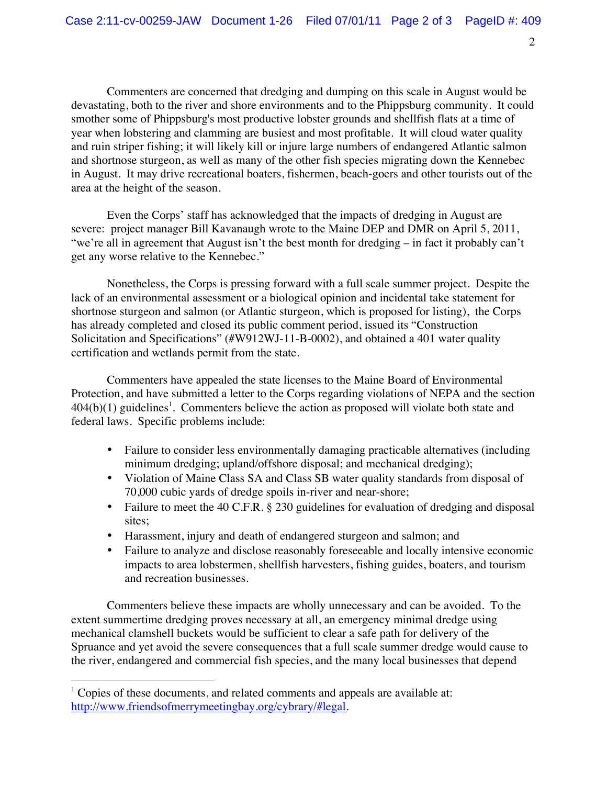2

Commenters are concerned that dredging and dumping on this scale in August would be devastating, both to the river and shore environments and to the Phippsburg community. It could smother some of Phippsburg's most productive lobster grounds and shellfish flats at a time of year when lobstering and clamming are busiest and most profitable. It will cloud water quality and ruin striper fishing; it will likely kill or injure large numbers of endangered Atlantic salmon and shortnose sturgeon, as well as many of the other fish species migrating down the Kennebec in August. It may drive recreational boaters, fishermen, beach-goers and other tourists out of the area at the height of the season.

Even the Corps' staff has acknowledged that the impacts of dredging in August are severe: project manager Bill Kavanaugh wrote to the Maine DEP and DMR on April 5, 2011, "we're all in agreement that August isn't the best month for dredging – in fact it probably can't get any worse relative to the Kennebec."

Nonetheless, the Corps is pressing forward with a full scale summer project. Despite the lack of an environmental assessment or a biological opinion and incidental take statement for shortnose sturgeon and salmon (or Atlantic sturgeon, which is proposed for listing), the Corps has already completed and closed its public comment period, issued its "Construction Solicitation and Specifications" (#W912WJ-11-B-0002), and obtained a 401 water quality certification and wetlands permit from the state.

Commenters have appealed the state licenses to the Maine Board of Environmental Protection, and have submitted a letter to the Corps regarding violations of NEPA and the section  $404(b)(1)$  guidelines<sup>1</sup>. Commenters believe the action as proposed will violate both state and federal laws. Specific problems include:

- Failure to consider less environmentally damaging practicable alternatives (including minimum dredging; upland/offshore disposal; and mechanical dredging);
- Violation of Maine Class SA and Class SB water quality standards from disposal of 70,000 cubic yards of dredge spoils in-river and near-shore;
- Failure to meet the 40 C.F.R. § 230 guidelines for evaluation of dredging and disposal sites;
- Harassment, injury and death of endangered sturgeon and salmon; and
- Failure to analyze and disclose reasonably foreseeable and locally intensive economic impacts to area lobstermen, shellfish harvesters, fishing guides, boaters, and tourism and recreation businesses.

Commenters believe these impacts are wholly unnecessary and can be avoided. To the extent summertime dredging proves necessary at all, an emergency minimal dredge using mechanical clamshell buckets would be sufficient to clear a safe path for delivery of the Spruance and yet avoid the severe consequences that a full scale summer dredge would cause to the river, endangered and commercial fish species, and the many local businesses that depend

 $1$  Copies of these documents, and related comments and appeals are available at: http://www.friendsofmerrymeetingbay.org/cybrary/#legal.